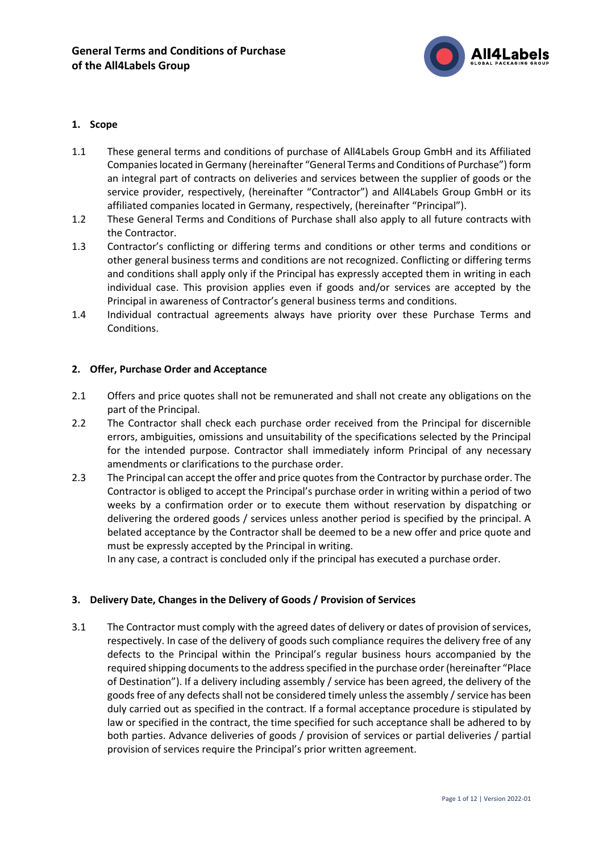

## **1. Scope**

- 1.1 These general terms and conditions of purchase of All4Labels Group GmbH and its Affiliated Companies located in Germany (hereinafter "General Terms and Conditions of Purchase") form an integral part of contracts on deliveries and services between the supplier of goods or the service provider, respectively, (hereinafter "Contractor") and All4Labels Group GmbH or its affiliated companies located in Germany, respectively, (hereinafter "Principal").
- 1.2 These General Terms and Conditions of Purchase shall also apply to all future contracts with the Contractor.
- 1.3 Contractor's conflicting or differing terms and conditions or other terms and conditions or other general business terms and conditions are not recognized. Conflicting or differing terms and conditions shall apply only if the Principal has expressly accepted them in writing in each individual case. This provision applies even if goods and/or services are accepted by the Principal in awareness of Contractor's general business terms and conditions.
- 1.4 Individual contractual agreements always have priority over these Purchase Terms and Conditions.

## **2. Offer, Purchase Order and Acceptance**

- 2.1 Offers and price quotes shall not be remunerated and shall not create any obligations on the part of the Principal.
- 2.2 The Contractor shall check each purchase order received from the Principal for discernible errors, ambiguities, omissions and unsuitability of the specifications selected by the Principal for the intended purpose. Contractor shall immediately inform Principal of any necessary amendments or clarifications to the purchase order.
- 2.3 The Principal can accept the offer and price quotes from the Contractor by purchase order. The Contractor is obliged to accept the Principal's purchase order in writing within a period of two weeks by a confirmation order or to execute them without reservation by dispatching or delivering the ordered goods / services unless another period is specified by the principal. A belated acceptance by the Contractor shall be deemed to be a new offer and price quote and must be expressly accepted by the Principal in writing.

In any case, a contract is concluded only if the principal has executed a purchase order.

# **3. Delivery Date, Changes in the Delivery of Goods / Provision of Services**

3.1 The Contractor must comply with the agreed dates of delivery or dates of provision of services, respectively. In case of the delivery of goods such compliance requires the delivery free of any defects to the Principal within the Principal's regular business hours accompanied by the required shipping documents to the address specified in the purchase order (hereinafter "Place of Destination"). If a delivery including assembly / service has been agreed, the delivery of the goods free of any defects shall not be considered timely unless the assembly / service has been duly carried out as specified in the contract. If a formal acceptance procedure is stipulated by law or specified in the contract, the time specified for such acceptance shall be adhered to by both parties. Advance deliveries of goods / provision of services or partial deliveries / partial provision of services require the Principal's prior written agreement.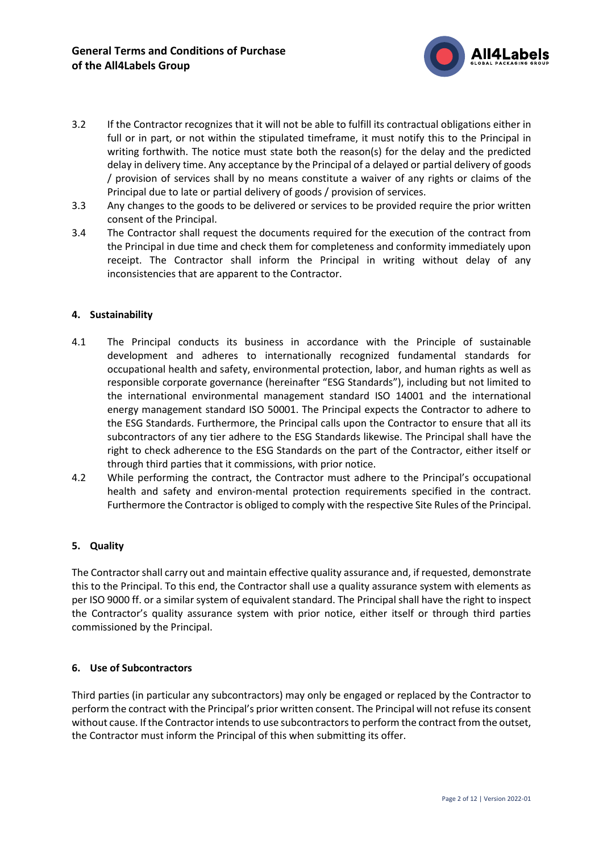

- 3.2 If the Contractor recognizes that it will not be able to fulfill its contractual obligations either in full or in part, or not within the stipulated timeframe, it must notify this to the Principal in writing forthwith. The notice must state both the reason(s) for the delay and the predicted delay in delivery time. Any acceptance by the Principal of a delayed or partial delivery of goods / provision of services shall by no means constitute a waiver of any rights or claims of the Principal due to late or partial delivery of goods / provision of services.
- 3.3 Any changes to the goods to be delivered or services to be provided require the prior written consent of the Principal.
- 3.4 The Contractor shall request the documents required for the execution of the contract from the Principal in due time and check them for completeness and conformity immediately upon receipt. The Contractor shall inform the Principal in writing without delay of any inconsistencies that are apparent to the Contractor.

## **4. Sustainability**

- 4.1 The Principal conducts its business in accordance with the Principle of sustainable development and adheres to internationally recognized fundamental standards for occupational health and safety, environmental protection, labor, and human rights as well as responsible corporate governance (hereinafter "ESG Standards"), including but not limited to the international environmental management standard ISO 14001 and the international energy management standard ISO 50001. The Principal expects the Contractor to adhere to the ESG Standards. Furthermore, the Principal calls upon the Contractor to ensure that all its subcontractors of any tier adhere to the ESG Standards likewise. The Principal shall have the right to check adherence to the ESG Standards on the part of the Contractor, either itself or through third parties that it commissions, with prior notice.
- 4.2 While performing the contract, the Contractor must adhere to the Principal's occupational health and safety and environ-mental protection requirements specified in the contract. Furthermore the Contractor is obliged to comply with the respective Site Rules of the Principal.

# **5. Quality**

The Contractor shall carry out and maintain effective quality assurance and, if requested, demonstrate this to the Principal. To this end, the Contractor shall use a quality assurance system with elements as per ISO 9000 ff. or a similar system of equivalent standard. The Principal shall have the right to inspect the Contractor's quality assurance system with prior notice, either itself or through third parties commissioned by the Principal.

#### **6. Use of Subcontractors**

Third parties (in particular any subcontractors) may only be engaged or replaced by the Contractor to perform the contract with the Principal's prior written consent. The Principal will not refuse its consent without cause. If the Contractor intends to use subcontractors to perform the contract from the outset, the Contractor must inform the Principal of this when submitting its offer.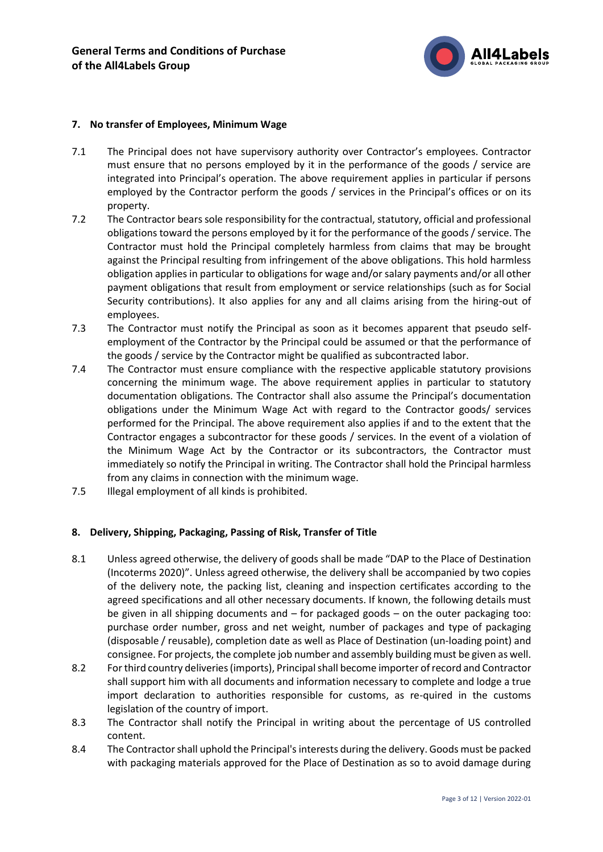

### **7. No transfer of Employees, Minimum Wage**

- 7.1 The Principal does not have supervisory authority over Contractor's employees. Contractor must ensure that no persons employed by it in the performance of the goods / service are integrated into Principal's operation. The above requirement applies in particular if persons employed by the Contractor perform the goods / services in the Principal's offices or on its property.
- 7.2 The Contractor bears sole responsibility for the contractual, statutory, official and professional obligations toward the persons employed by it for the performance of the goods / service. The Contractor must hold the Principal completely harmless from claims that may be brought against the Principal resulting from infringement of the above obligations. This hold harmless obligation applies in particular to obligations for wage and/or salary payments and/or all other payment obligations that result from employment or service relationships (such as for Social Security contributions). It also applies for any and all claims arising from the hiring-out of employees.
- 7.3 The Contractor must notify the Principal as soon as it becomes apparent that pseudo selfemployment of the Contractor by the Principal could be assumed or that the performance of the goods / service by the Contractor might be qualified as subcontracted labor.
- 7.4 The Contractor must ensure compliance with the respective applicable statutory provisions concerning the minimum wage. The above requirement applies in particular to statutory documentation obligations. The Contractor shall also assume the Principal's documentation obligations under the Minimum Wage Act with regard to the Contractor goods/ services performed for the Principal. The above requirement also applies if and to the extent that the Contractor engages a subcontractor for these goods / services. In the event of a violation of the Minimum Wage Act by the Contractor or its subcontractors, the Contractor must immediately so notify the Principal in writing. The Contractor shall hold the Principal harmless from any claims in connection with the minimum wage.
- 7.5 Illegal employment of all kinds is prohibited.

#### **8. Delivery, Shipping, Packaging, Passing of Risk, Transfer of Title**

- 8.1 Unless agreed otherwise, the delivery of goods shall be made "DAP to the Place of Destination (Incoterms 2020)". Unless agreed otherwise, the delivery shall be accompanied by two copies of the delivery note, the packing list, cleaning and inspection certificates according to the agreed specifications and all other necessary documents. If known, the following details must be given in all shipping documents and – for packaged goods – on the outer packaging too: purchase order number, gross and net weight, number of packages and type of packaging (disposable / reusable), completion date as well as Place of Destination (un-loading point) and consignee. For projects, the complete job number and assembly building must be given as well.
- 8.2 For third country deliveries (imports), Principal shall become importer of record and Contractor shall support him with all documents and information necessary to complete and lodge a true import declaration to authorities responsible for customs, as re-quired in the customs legislation of the country of import.
- 8.3 The Contractor shall notify the Principal in writing about the percentage of US controlled content.
- 8.4 The Contractor shall uphold the Principal's interests during the delivery. Goods must be packed with packaging materials approved for the Place of Destination as so to avoid damage during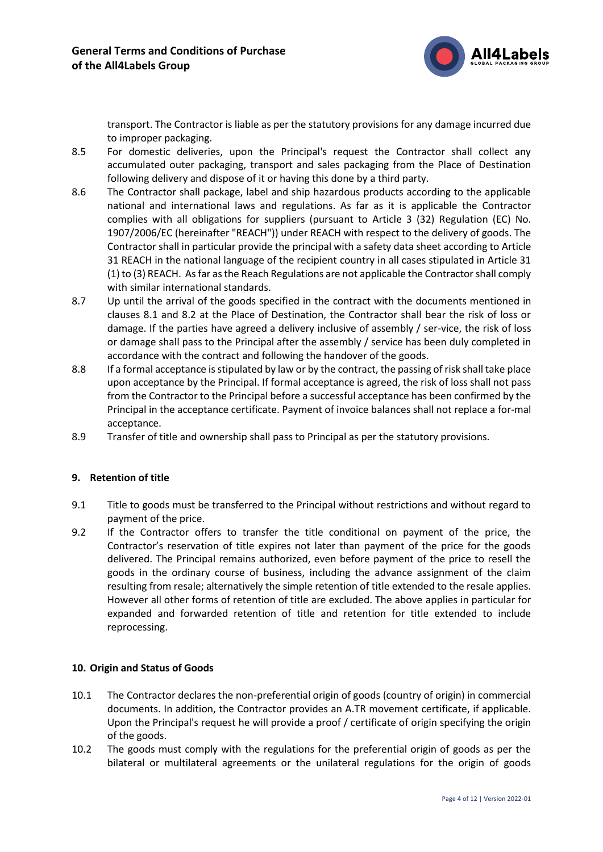

transport. The Contractor is liable as per the statutory provisions for any damage incurred due to improper packaging.

- 8.5 For domestic deliveries, upon the Principal's request the Contractor shall collect any accumulated outer packaging, transport and sales packaging from the Place of Destination following delivery and dispose of it or having this done by a third party.
- 8.6 The Contractor shall package, label and ship hazardous products according to the applicable national and international laws and regulations. As far as it is applicable the Contractor complies with all obligations for suppliers (pursuant to Article 3 (32) Regulation (EC) No. 1907/2006/EC (hereinafter "REACH")) under REACH with respect to the delivery of goods. The Contractor shall in particular provide the principal with a safety data sheet according to Article 31 REACH in the national language of the recipient country in all cases stipulated in Article 31 (1) to (3) REACH. As far as the Reach Regulations are not applicable the Contractor shall comply with similar international standards.
- 8.7 Up until the arrival of the goods specified in the contract with the documents mentioned in clauses 8.1 and 8.2 at the Place of Destination, the Contractor shall bear the risk of loss or damage. If the parties have agreed a delivery inclusive of assembly / ser-vice, the risk of loss or damage shall pass to the Principal after the assembly / service has been duly completed in accordance with the contract and following the handover of the goods.
- 8.8 If a formal acceptance is stipulated by law or by the contract, the passing of risk shall take place upon acceptance by the Principal. If formal acceptance is agreed, the risk of loss shall not pass from the Contractor to the Principal before a successful acceptance has been confirmed by the Principal in the acceptance certificate. Payment of invoice balances shall not replace a for-mal acceptance.
- 8.9 Transfer of title and ownership shall pass to Principal as per the statutory provisions.

# **9. Retention of title**

- 9.1 Title to goods must be transferred to the Principal without restrictions and without regard to payment of the price.
- 9.2 If the Contractor offers to transfer the title conditional on payment of the price, the Contractor's reservation of title expires not later than payment of the price for the goods delivered. The Principal remains authorized, even before payment of the price to resell the goods in the ordinary course of business, including the advance assignment of the claim resulting from resale; alternatively the simple retention of title extended to the resale applies. However all other forms of retention of title are excluded. The above applies in particular for expanded and forwarded retention of title and retention for title extended to include reprocessing.

#### **10. Origin and Status of Goods**

- 10.1 The Contractor declares the non-preferential origin of goods (country of origin) in commercial documents. In addition, the Contractor provides an A.TR movement certificate, if applicable. Upon the Principal's request he will provide a proof / certificate of origin specifying the origin of the goods.
- 10.2 The goods must comply with the regulations for the preferential origin of goods as per the bilateral or multilateral agreements or the unilateral regulations for the origin of goods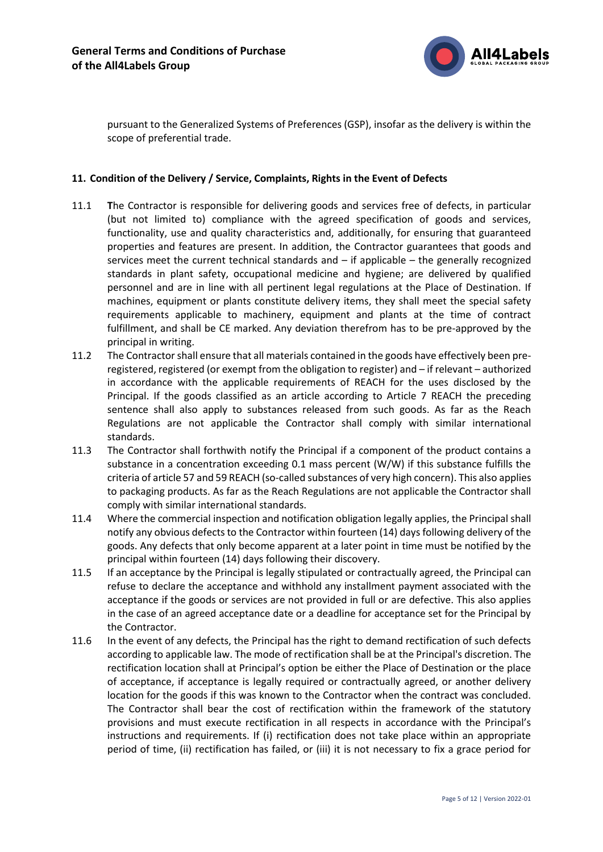

pursuant to the Generalized Systems of Preferences (GSP), insofar as the delivery is within the scope of preferential trade.

#### **11. Condition of the Delivery / Service, Complaints, Rights in the Event of Defects**

- 11.1 **T**he Contractor is responsible for delivering goods and services free of defects, in particular (but not limited to) compliance with the agreed specification of goods and services, functionality, use and quality characteristics and, additionally, for ensuring that guaranteed properties and features are present. In addition, the Contractor guarantees that goods and services meet the current technical standards and – if applicable – the generally recognized standards in plant safety, occupational medicine and hygiene; are delivered by qualified personnel and are in line with all pertinent legal regulations at the Place of Destination. If machines, equipment or plants constitute delivery items, they shall meet the special safety requirements applicable to machinery, equipment and plants at the time of contract fulfillment, and shall be CE marked. Any deviation therefrom has to be pre-approved by the principal in writing.
- 11.2 The Contractor shall ensure that all materials contained in the goods have effectively been preregistered, registered (or exempt from the obligation to register) and – if relevant – authorized in accordance with the applicable requirements of REACH for the uses disclosed by the Principal. If the goods classified as an article according to Article 7 REACH the preceding sentence shall also apply to substances released from such goods. As far as the Reach Regulations are not applicable the Contractor shall comply with similar international standards.
- 11.3 The Contractor shall forthwith notify the Principal if a component of the product contains a substance in a concentration exceeding 0.1 mass percent (W/W) if this substance fulfills the criteria of article 57 and 59 REACH (so-called substances of very high concern). This also applies to packaging products. As far as the Reach Regulations are not applicable the Contractor shall comply with similar international standards.
- 11.4 Where the commercial inspection and notification obligation legally applies, the Principal shall notify any obvious defects to the Contractor within fourteen (14) days following delivery of the goods. Any defects that only become apparent at a later point in time must be notified by the principal within fourteen (14) days following their discovery.
- 11.5 If an acceptance by the Principal is legally stipulated or contractually agreed, the Principal can refuse to declare the acceptance and withhold any installment payment associated with the acceptance if the goods or services are not provided in full or are defective. This also applies in the case of an agreed acceptance date or a deadline for acceptance set for the Principal by the Contractor.
- 11.6 In the event of any defects, the Principal has the right to demand rectification of such defects according to applicable law. The mode of rectification shall be at the Principal's discretion. The rectification location shall at Principal's option be either the Place of Destination or the place of acceptance, if acceptance is legally required or contractually agreed, or another delivery location for the goods if this was known to the Contractor when the contract was concluded. The Contractor shall bear the cost of rectification within the framework of the statutory provisions and must execute rectification in all respects in accordance with the Principal's instructions and requirements. If (i) rectification does not take place within an appropriate period of time, (ii) rectification has failed, or (iii) it is not necessary to fix a grace period for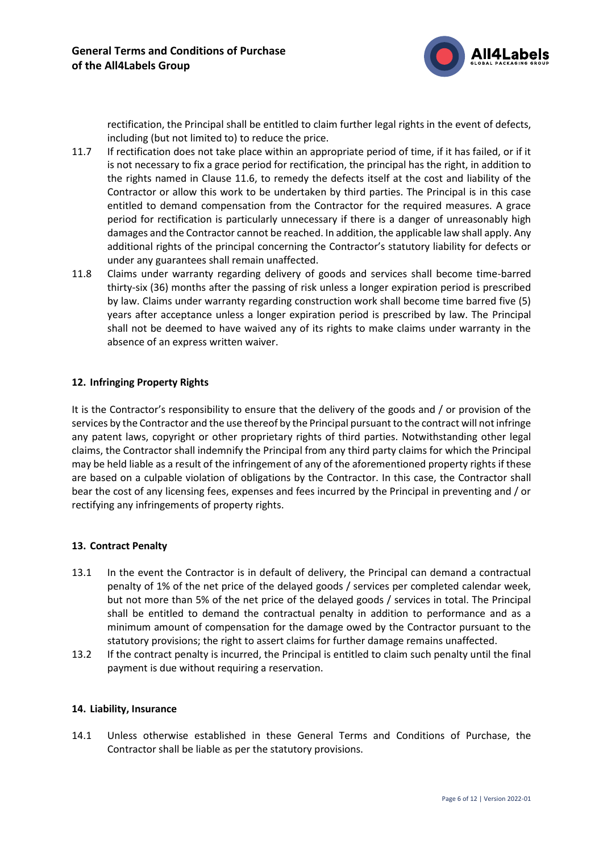

rectification, the Principal shall be entitled to claim further legal rights in the event of defects, including (but not limited to) to reduce the price.

- 11.7 If rectification does not take place within an appropriate period of time, if it has failed, or if it is not necessary to fix a grace period for rectification, the principal has the right, in addition to the rights named in Clause 11.6, to remedy the defects itself at the cost and liability of the Contractor or allow this work to be undertaken by third parties. The Principal is in this case entitled to demand compensation from the Contractor for the required measures. A grace period for rectification is particularly unnecessary if there is a danger of unreasonably high damages and the Contractor cannot be reached. In addition, the applicable law shall apply. Any additional rights of the principal concerning the Contractor's statutory liability for defects or under any guarantees shall remain unaffected.
- 11.8 Claims under warranty regarding delivery of goods and services shall become time-barred thirty-six (36) months after the passing of risk unless a longer expiration period is prescribed by law. Claims under warranty regarding construction work shall become time barred five (5) years after acceptance unless a longer expiration period is prescribed by law. The Principal shall not be deemed to have waived any of its rights to make claims under warranty in the absence of an express written waiver.

#### **12. Infringing Property Rights**

It is the Contractor's responsibility to ensure that the delivery of the goods and / or provision of the services by the Contractor and the use thereof by the Principal pursuant to the contract will not infringe any patent laws, copyright or other proprietary rights of third parties. Notwithstanding other legal claims, the Contractor shall indemnify the Principal from any third party claims for which the Principal may be held liable as a result of the infringement of any of the aforementioned property rights if these are based on a culpable violation of obligations by the Contractor. In this case, the Contractor shall bear the cost of any licensing fees, expenses and fees incurred by the Principal in preventing and / or rectifying any infringements of property rights.

#### **13. Contract Penalty**

- 13.1 In the event the Contractor is in default of delivery, the Principal can demand a contractual penalty of 1% of the net price of the delayed goods / services per completed calendar week, but not more than 5% of the net price of the delayed goods / services in total. The Principal shall be entitled to demand the contractual penalty in addition to performance and as a minimum amount of compensation for the damage owed by the Contractor pursuant to the statutory provisions; the right to assert claims for further damage remains unaffected.
- 13.2 If the contract penalty is incurred, the Principal is entitled to claim such penalty until the final payment is due without requiring a reservation.

#### **14. Liability, Insurance**

14.1 Unless otherwise established in these General Terms and Conditions of Purchase, the Contractor shall be liable as per the statutory provisions.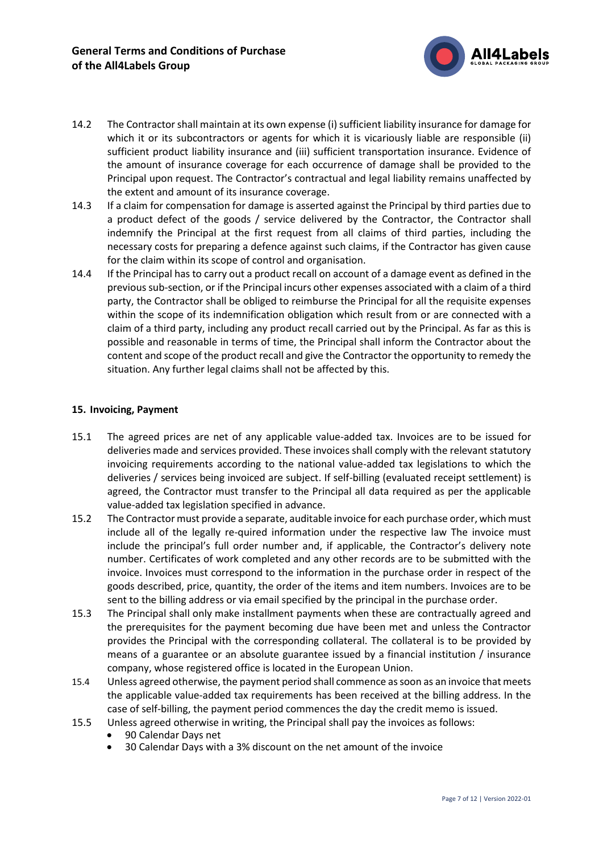

- 14.2 The Contractor shall maintain at its own expense (i) sufficient liability insurance for damage for which it or its subcontractors or agents for which it is vicariously liable are responsible (ii) sufficient product liability insurance and (iii) sufficient transportation insurance. Evidence of the amount of insurance coverage for each occurrence of damage shall be provided to the Principal upon request. The Contractor's contractual and legal liability remains unaffected by the extent and amount of its insurance coverage.
- 14.3 If a claim for compensation for damage is asserted against the Principal by third parties due to a product defect of the goods / service delivered by the Contractor, the Contractor shall indemnify the Principal at the first request from all claims of third parties, including the necessary costs for preparing a defence against such claims, if the Contractor has given cause for the claim within its scope of control and organisation.
- 14.4 If the Principal has to carry out a product recall on account of a damage event as defined in the previous sub-section, or if the Principal incurs other expenses associated with a claim of a third party, the Contractor shall be obliged to reimburse the Principal for all the requisite expenses within the scope of its indemnification obligation which result from or are connected with a claim of a third party, including any product recall carried out by the Principal. As far as this is possible and reasonable in terms of time, the Principal shall inform the Contractor about the content and scope of the product recall and give the Contractor the opportunity to remedy the situation. Any further legal claims shall not be affected by this.

#### **15. Invoicing, Payment**

- 15.1 The agreed prices are net of any applicable value-added tax. Invoices are to be issued for deliveries made and services provided. These invoices shall comply with the relevant statutory invoicing requirements according to the national value-added tax legislations to which the deliveries / services being invoiced are subject. If self-billing (evaluated receipt settlement) is agreed, the Contractor must transfer to the Principal all data required as per the applicable value-added tax legislation specified in advance.
- 15.2 The Contractor must provide a separate, auditable invoice for each purchase order, which must include all of the legally re-quired information under the respective law The invoice must include the principal's full order number and, if applicable, the Contractor's delivery note number. Certificates of work completed and any other records are to be submitted with the invoice. Invoices must correspond to the information in the purchase order in respect of the goods described, price, quantity, the order of the items and item numbers. Invoices are to be sent to the billing address or via email specified by the principal in the purchase order.
- 15.3 The Principal shall only make installment payments when these are contractually agreed and the prerequisites for the payment becoming due have been met and unless the Contractor provides the Principal with the corresponding collateral. The collateral is to be provided by means of a guarantee or an absolute guarantee issued by a financial institution / insurance company, whose registered office is located in the European Union.
- 15.4 Unless agreed otherwise, the payment period shall commence as soon as an invoice that meets the applicable value-added tax requirements has been received at the billing address. In the case of self-billing, the payment period commences the day the credit memo is issued.
- 15.5 Unless agreed otherwise in writing, the Principal shall pay the invoices as follows:
	- 90 Calendar Days net
	- 30 Calendar Days with a 3% discount on the net amount of the invoice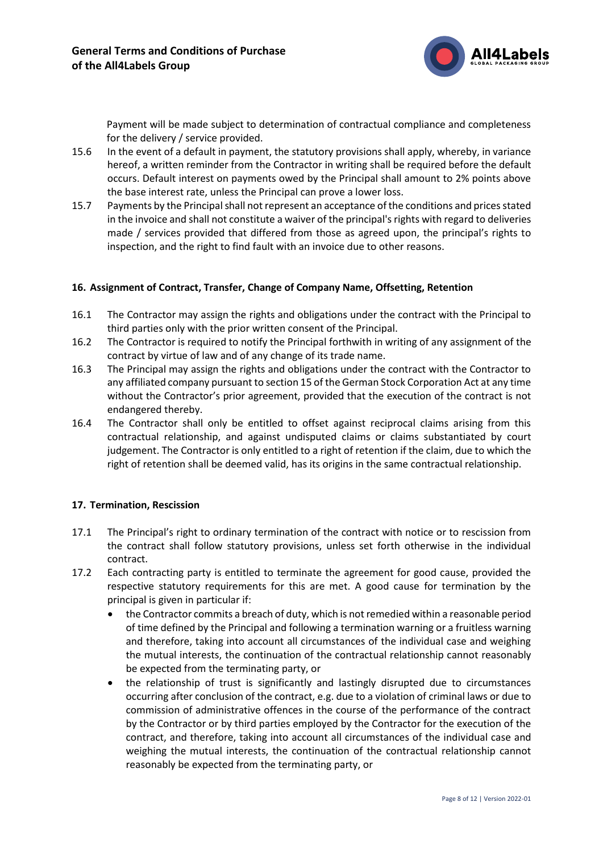

Payment will be made subject to determination of contractual compliance and completeness for the delivery / service provided.

- 15.6 In the event of a default in payment, the statutory provisions shall apply, whereby, in variance hereof, a written reminder from the Contractor in writing shall be required before the default occurs. Default interest on payments owed by the Principal shall amount to 2% points above the base interest rate, unless the Principal can prove a lower loss.
- 15.7 Payments by the Principal shall not represent an acceptance of the conditions and prices stated in the invoice and shall not constitute a waiver of the principal's rights with regard to deliveries made / services provided that differed from those as agreed upon, the principal's rights to inspection, and the right to find fault with an invoice due to other reasons.

#### **16. Assignment of Contract, Transfer, Change of Company Name, Offsetting, Retention**

- 16.1 The Contractor may assign the rights and obligations under the contract with the Principal to third parties only with the prior written consent of the Principal.
- 16.2 The Contractor is required to notify the Principal forthwith in writing of any assignment of the contract by virtue of law and of any change of its trade name.
- 16.3 The Principal may assign the rights and obligations under the contract with the Contractor to any affiliated company pursuant to section 15 of the German Stock Corporation Act at any time without the Contractor's prior agreement, provided that the execution of the contract is not endangered thereby.
- 16.4 The Contractor shall only be entitled to offset against reciprocal claims arising from this contractual relationship, and against undisputed claims or claims substantiated by court judgement. The Contractor is only entitled to a right of retention if the claim, due to which the right of retention shall be deemed valid, has its origins in the same contractual relationship.

# **17. Termination, Rescission**

- 17.1 The Principal's right to ordinary termination of the contract with notice or to rescission from the contract shall follow statutory provisions, unless set forth otherwise in the individual contract.
- 17.2 Each contracting party is entitled to terminate the agreement for good cause, provided the respective statutory requirements for this are met. A good cause for termination by the principal is given in particular if:
	- the Contractor commits a breach of duty, which is not remedied within a reasonable period of time defined by the Principal and following a termination warning or a fruitless warning and therefore, taking into account all circumstances of the individual case and weighing the mutual interests, the continuation of the contractual relationship cannot reasonably be expected from the terminating party, or
	- the relationship of trust is significantly and lastingly disrupted due to circumstances occurring after conclusion of the contract, e.g. due to a violation of criminal laws or due to commission of administrative offences in the course of the performance of the contract by the Contractor or by third parties employed by the Contractor for the execution of the contract, and therefore, taking into account all circumstances of the individual case and weighing the mutual interests, the continuation of the contractual relationship cannot reasonably be expected from the terminating party, or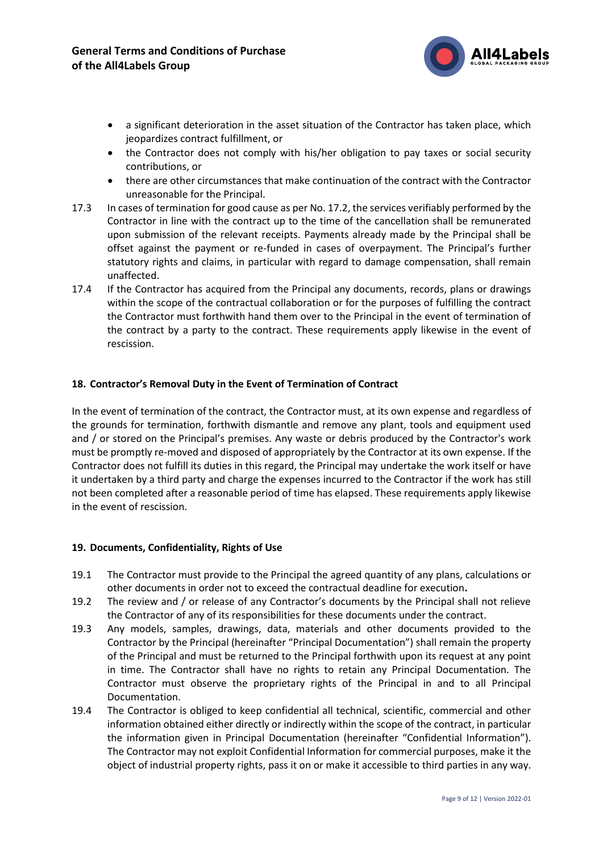

- a significant deterioration in the asset situation of the Contractor has taken place, which jeopardizes contract fulfillment, or
- the Contractor does not comply with his/her obligation to pay taxes or social security contributions, or
- there are other circumstances that make continuation of the contract with the Contractor unreasonable for the Principal.
- 17.3 In cases of termination for good cause as per No. 17.2, the services verifiably performed by the Contractor in line with the contract up to the time of the cancellation shall be remunerated upon submission of the relevant receipts. Payments already made by the Principal shall be offset against the payment or re-funded in cases of overpayment. The Principal's further statutory rights and claims, in particular with regard to damage compensation, shall remain unaffected.
- 17.4 If the Contractor has acquired from the Principal any documents, records, plans or drawings within the scope of the contractual collaboration or for the purposes of fulfilling the contract the Contractor must forthwith hand them over to the Principal in the event of termination of the contract by a party to the contract. These requirements apply likewise in the event of rescission.

## **18. Contractor's Removal Duty in the Event of Termination of Contract**

In the event of termination of the contract, the Contractor must, at its own expense and regardless of the grounds for termination, forthwith dismantle and remove any plant, tools and equipment used and / or stored on the Principal's premises. Any waste or debris produced by the Contractor's work must be promptly re-moved and disposed of appropriately by the Contractor at its own expense. If the Contractor does not fulfill its duties in this regard, the Principal may undertake the work itself or have it undertaken by a third party and charge the expenses incurred to the Contractor if the work has still not been completed after a reasonable period of time has elapsed. These requirements apply likewise in the event of rescission.

#### **19. Documents, Confidentiality, Rights of Use**

- 19.1 The Contractor must provide to the Principal the agreed quantity of any plans, calculations or other documents in order not to exceed the contractual deadline for execution**.**
- 19.2 The review and / or release of any Contractor's documents by the Principal shall not relieve the Contractor of any of its responsibilities for these documents under the contract.
- 19.3 Any models, samples, drawings, data, materials and other documents provided to the Contractor by the Principal (hereinafter "Principal Documentation") shall remain the property of the Principal and must be returned to the Principal forthwith upon its request at any point in time. The Contractor shall have no rights to retain any Principal Documentation. The Contractor must observe the proprietary rights of the Principal in and to all Principal Documentation.
- 19.4 The Contractor is obliged to keep confidential all technical, scientific, commercial and other information obtained either directly or indirectly within the scope of the contract, in particular the information given in Principal Documentation (hereinafter "Confidential Information"). The Contractor may not exploit Confidential Information for commercial purposes, make it the object of industrial property rights, pass it on or make it accessible to third parties in any way.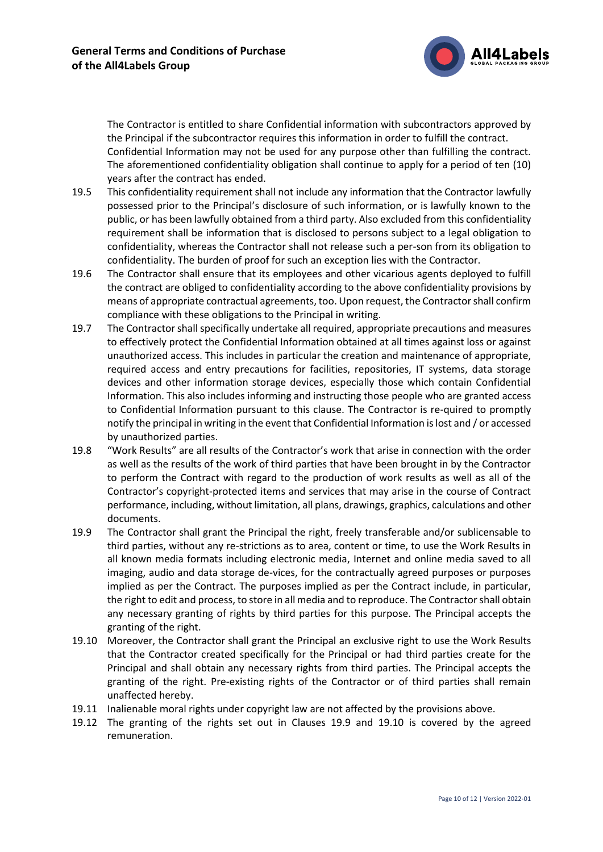

The Contractor is entitled to share Confidential information with subcontractors approved by the Principal if the subcontractor requires this information in order to fulfill the contract. Confidential Information may not be used for any purpose other than fulfilling the contract. The aforementioned confidentiality obligation shall continue to apply for a period of ten (10) years after the contract has ended.

- 19.5 This confidentiality requirement shall not include any information that the Contractor lawfully possessed prior to the Principal's disclosure of such information, or is lawfully known to the public, or has been lawfully obtained from a third party. Also excluded from this confidentiality requirement shall be information that is disclosed to persons subject to a legal obligation to confidentiality, whereas the Contractor shall not release such a per-son from its obligation to confidentiality. The burden of proof for such an exception lies with the Contractor.
- 19.6 The Contractor shall ensure that its employees and other vicarious agents deployed to fulfill the contract are obliged to confidentiality according to the above confidentiality provisions by means of appropriate contractual agreements, too. Upon request, the Contractor shall confirm compliance with these obligations to the Principal in writing.
- 19.7 The Contractor shall specifically undertake all required, appropriate precautions and measures to effectively protect the Confidential Information obtained at all times against loss or against unauthorized access. This includes in particular the creation and maintenance of appropriate, required access and entry precautions for facilities, repositories, IT systems, data storage devices and other information storage devices, especially those which contain Confidential Information. This also includes informing and instructing those people who are granted access to Confidential Information pursuant to this clause. The Contractor is re-quired to promptly notify the principal in writing in the event that Confidential Information is lost and / or accessed by unauthorized parties.
- 19.8 "Work Results" are all results of the Contractor's work that arise in connection with the order as well as the results of the work of third parties that have been brought in by the Contractor to perform the Contract with regard to the production of work results as well as all of the Contractor's copyright-protected items and services that may arise in the course of Contract performance, including, without limitation, all plans, drawings, graphics, calculations and other documents.
- 19.9 The Contractor shall grant the Principal the right, freely transferable and/or sublicensable to third parties, without any re-strictions as to area, content or time, to use the Work Results in all known media formats including electronic media, Internet and online media saved to all imaging, audio and data storage de-vices, for the contractually agreed purposes or purposes implied as per the Contract. The purposes implied as per the Contract include, in particular, the right to edit and process, to store in all media and to reproduce. The Contractor shall obtain any necessary granting of rights by third parties for this purpose. The Principal accepts the granting of the right.
- 19.10 Moreover, the Contractor shall grant the Principal an exclusive right to use the Work Results that the Contractor created specifically for the Principal or had third parties create for the Principal and shall obtain any necessary rights from third parties. The Principal accepts the granting of the right. Pre-existing rights of the Contractor or of third parties shall remain unaffected hereby.
- 19.11 Inalienable moral rights under copyright law are not affected by the provisions above.
- 19.12 The granting of the rights set out in Clauses 19.9 and 19.10 is covered by the agreed remuneration.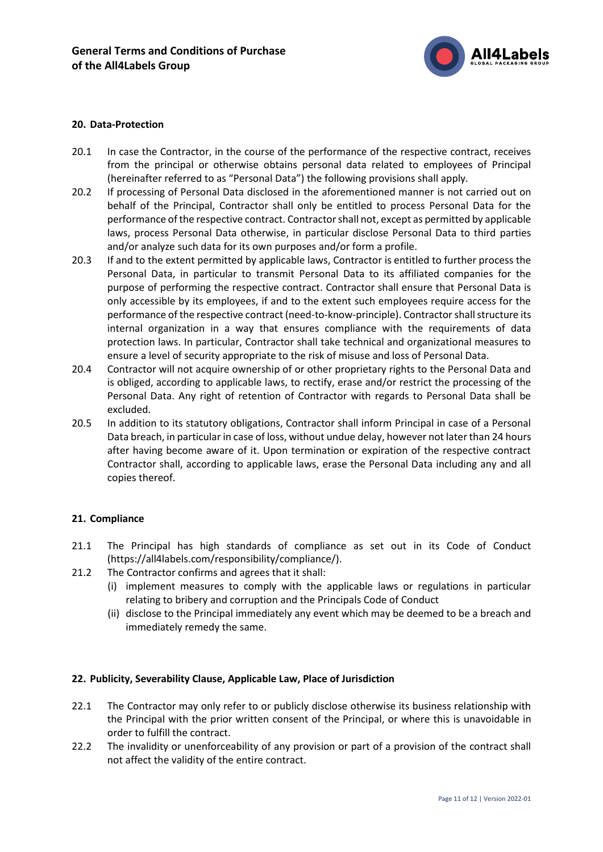

### **20. Data-Protection**

- 20.1 In case the Contractor, in the course of the performance of the respective contract, receives from the principal or otherwise obtains personal data related to employees of Principal (hereinafter referred to as "Personal Data") the following provisions shall apply.
- 20.2 If processing of Personal Data disclosed in the aforementioned manner is not carried out on behalf of the Principal, Contractor shall only be entitled to process Personal Data for the performance of the respective contract. Contractor shall not, except as permitted by applicable laws, process Personal Data otherwise, in particular disclose Personal Data to third parties and/or analyze such data for its own purposes and/or form a profile.
- 20.3 If and to the extent permitted by applicable laws, Contractor is entitled to further process the Personal Data, in particular to transmit Personal Data to its affiliated companies for the purpose of performing the respective contract. Contractor shall ensure that Personal Data is only accessible by its employees, if and to the extent such employees require access for the performance of the respective contract (need-to-know-principle). Contractor shall structure its internal organization in a way that ensures compliance with the requirements of data protection laws. In particular, Contractor shall take technical and organizational measures to ensure a level of security appropriate to the risk of misuse and loss of Personal Data.
- 20.4 Contractor will not acquire ownership of or other proprietary rights to the Personal Data and is obliged, according to applicable laws, to rectify, erase and/or restrict the processing of the Personal Data. Any right of retention of Contractor with regards to Personal Data shall be excluded.
- 20.5 In addition to its statutory obligations, Contractor shall inform Principal in case of a Personal Data breach, in particular in case of loss, without undue delay, however not later than 24 hours after having become aware of it. Upon termination or expiration of the respective contract Contractor shall, according to applicable laws, erase the Personal Data including any and all copies thereof.

#### **21. Compliance**

- 21.1 The Principal has high standards of compliance as set out in its Code of Conduct (https://all4labels.com/responsibility/compliance/).
- 21.2 The Contractor confirms and agrees that it shall:
	- (i) implement measures to comply with the applicable laws or regulations in particular relating to bribery and corruption and the Principals Code of Conduct
	- (ii) disclose to the Principal immediately any event which may be deemed to be a breach and immediately remedy the same.

#### **22. Publicity, Severability Clause, Applicable Law, Place of Jurisdiction**

- 22.1 The Contractor may only refer to or publicly disclose otherwise its business relationship with the Principal with the prior written consent of the Principal, or where this is unavoidable in order to fulfill the contract.
- 22.2 The invalidity or unenforceability of any provision or part of a provision of the contract shall not affect the validity of the entire contract.